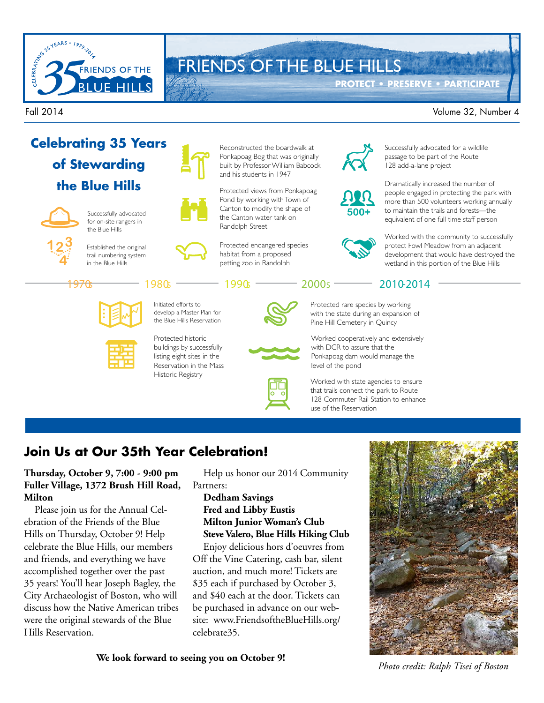

# FRIENDS OF THE BLUE HILLS

**PROTECT • PRESERVE • PARTICIPATE**

#### Fall 2014 Volume 32, Number 4



buildings by successfully listing eight sites in the Reservation in the Mass Historic Registry



Worked cooperatively and extensively with DCR to assure that the Ponkapoag dam would manage the level of the pond

Worked with state agencies to ensure that trails connect the park to Route 128 Commuter Rail Station to enhance use of the Reservation

### **Join Us at Our 35th Year Celebration!**

#### **Thursday, October 9, 7:00 - 9:00 pm Fuller Village, 1372 Brush Hill Road, Milton**

Please join us for the Annual Celebration of the Friends of the Blue Hills on Thursday, October 9! Help celebrate the Blue Hills, our members and friends, and everything we have accomplished together over the past 35 years! You'll hear Joseph Bagley, the City Archaeologist of Boston, who will discuss how the Native American tribes were the original stewards of the Blue Hills Reservation.

Help us honor our 2014 Community Partners:

#### **Dedham Savings Fred and Libby Eustis Milton Junior Woman's Club Steve Valero, Blue Hills Hiking Club**

Enjoy delicious hors d'oeuvres from Off the Vine Catering, cash bar, silent auction, and much more! Tickets are \$35 each if purchased by October 3, and \$40 each at the door. Tickets can be purchased in advance on our website: www.FriendsoftheBlueHills.org/ celebrate35.

**We look forward to seeing you on October 9!**

*Photo credit: Ralph Tisei of Boston*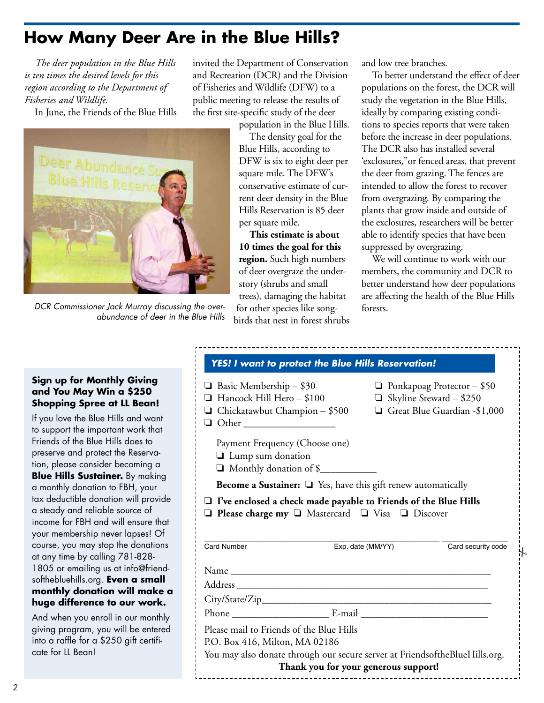### **How Many Deer Are in the Blue Hills?**

*The deer population in the Blue Hills is ten times the desired levels for this region according to the Department of Fisheries and Wildlife.*

In June, the Friends of the Blue Hills



DCR Commissioner Jack Murray discussing the overabundance of deer in the Blue Hills

invited the Department of Conservation and Recreation (DCR) and the Division of Fisheries and Wildlife (DFW) to a public meeting to release the results of the first site-specific study of the deer

population in the Blue Hills.

The density goal for the Blue Hills, according to DFW is six to eight deer per square mile. The DFW's conservative estimate of current deer density in the Blue Hills Reservation is 85 deer per square mile.

**This estimate is about 10 times the goal for this region.** Such high numbers of deer overgraze the understory (shrubs and small trees), damaging the habitat for other species like song-

birds that nest in forest shrubs

and low tree branches.

To better understand the effect of deer populations on the forest, the DCR will study the vegetation in the Blue Hills, ideally by comparing existing conditions to species reports that were taken before the increase in deer populations. The DCR also has installed several 'exclosures,"or fenced areas, that prevent the deer from grazing. The fences are intended to allow the forest to recover from overgrazing. By comparing the plants that grow inside and outside of the exclosures, researchers will be better able to identify species that have been suppressed by overgrazing.

We will continue to work with our members, the community and DCR to better understand how deer populations are affecting the health of the Blue Hills forests.

.<br>ا

#### **Sign up for Monthly Giving and You May Win a \$250 Shopping Spree at LL Bean!**

If you love the Blue Hills and want to support the important work that Friends of the Blue Hills does to preserve and protect the Reservation, please consider becoming a **Blue Hills Sustainer.** By making a monthly donation to FBH, your tax deductible donation will provide a steady and reliable source of income for FBH and will ensure that your membership never lapses! Of course, you may stop the donations at any time by calling 781-828- 1805 or emailing us at info@friendsofthebluehills.org. **Even a small monthly donation will make a huge difference to our work.**

And when you enroll in our monthly giving program, you will be entered into a raffle for a \$250 gift certificate for LL Bean!

| <b>YES! I want to protect the Blue Hills Reservation!</b>                                                                                                             |                                   |                    |
|-----------------------------------------------------------------------------------------------------------------------------------------------------------------------|-----------------------------------|--------------------|
| $\Box$ Basic Membership – \$30                                                                                                                                        | $\Box$ Ponkapoag Protector - \$50 |                    |
| Hancock Hill Hero - \$100                                                                                                                                             | $\Box$ Skyline Steward - \$250    |                    |
| $\Box$ Chickatawbut Champion - \$500<br>Other ____________________                                                                                                    | Great Blue Guardian -\$1,000      |                    |
| Payment Frequency (Choose one)<br>$\Box$ Lump sum donation<br>Monthly donation of \$                                                                                  |                                   |                    |
| <b>Become a Sustainer:</b> $\Box$ Yes, have this gift renew automatically                                                                                             |                                   |                    |
|                                                                                                                                                                       |                                   |                    |
| $\Box$ I've enclosed a check made payable to Friends of the Blue Hills<br>$\Box$ Please charge my $\Box$ Mastercard $\Box$ Visa $\Box$ Discover<br><b>Card Number</b> | Exp. date (MM/YY)                 | Card security code |
|                                                                                                                                                                       |                                   |                    |
|                                                                                                                                                                       |                                   |                    |
|                                                                                                                                                                       |                                   |                    |
|                                                                                                                                                                       |                                   |                    |
| Please mail to Friends of the Blue Hills<br>P.O. Box 416, Milton, MA 02186<br>You may also donate through our secure server at FriendsoftheBlueHills.org.             |                                   |                    |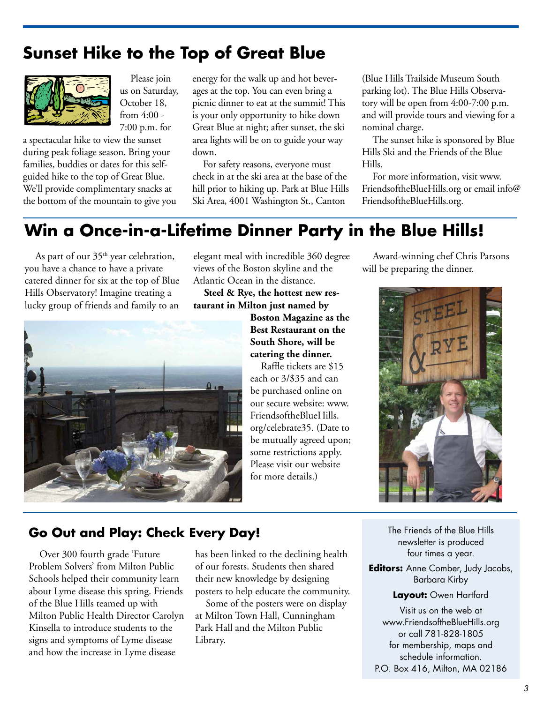### **Sunset Hike to the Top of Great Blue**



Please join us on Saturday, October 18, from 4:00 - 7:00 p.m. for

a spectacular hike to view the sunset during peak foliage season. Bring your families, buddies or dates for this selfguided hike to the top of Great Blue. We'll provide complimentary snacks at the bottom of the mountain to give you energy for the walk up and hot beverages at the top. You can even bring a picnic dinner to eat at the summit! This is your only opportunity to hike down Great Blue at night; after sunset, the ski area lights will be on to guide your way down.

For safety reasons, everyone must check in at the ski area at the base of the hill prior to hiking up. Park at Blue Hills Ski Area, 4001 Washington St., Canton

(Blue Hills Trailside Museum South parking lot). The Blue Hills Observatory will be open from 4:00-7:00 p.m. and will provide tours and viewing for a nominal charge.

The sunset hike is sponsored by Blue Hills Ski and the Friends of the Blue Hills.

For more information, visit www. FriendsoftheBlueHills.org or email info@ FriendsoftheBlueHills.org.

### **Win a Once-in-a-Lifetime Dinner Party in the Blue Hills!**

As part of our  $35<sup>th</sup>$  year celebration, you have a chance to have a private catered dinner for six at the top of Blue Hills Observatory! Imagine treating a lucky group of friends and family to an



elegant meal with incredible 360 degree views of the Boston skyline and the Atlantic Ocean in the distance.

**Steel & Rye, the hottest new restaurant in Milton just named by** 

> **Boston Magazine as the Best Restaurant on the South Shore, will be catering the dinner.**

Raffle tickets are \$15 each or 3/\$35 and can be purchased online on our secure website: www. FriendsoftheBlueHills. org/celebrate35. (Date to be mutually agreed upon; some restrictions apply. Please visit our website for more details.)

Award-winning chef Chris Parsons will be preparing the dinner.



### **Go Out and Play: Check Every Day!**

Over 300 fourth grade 'Future Problem Solvers' from Milton Public Schools helped their community learn about Lyme disease this spring. Friends of the Blue Hills teamed up with Milton Public Health Director Carolyn Kinsella to introduce students to the signs and symptoms of Lyme disease and how the increase in Lyme disease

has been linked to the declining health of our forests. Students then shared their new knowledge by designing posters to help educate the community.

Some of the posters were on display at Milton Town Hall, Cunningham Park Hall and the Milton Public Library.

The Friends of the Blue Hills newsletter is produced four times a year.

**Editors:** Anne Comber, Judy Jacobs, Barbara Kirby

**Layout:** Owen Hartford

Visit us on the web at www.FriendsoftheBlueHills.org or call 781-828-1805 for membership, maps and schedule information. P.O. Box 416, Milton, MA 02186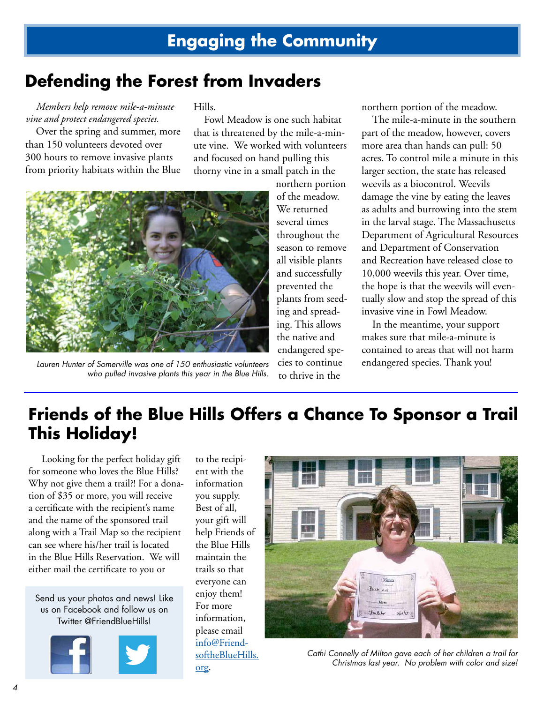### **Defending the Forest from Invaders**

*Members help remove mile-a-minute vine and protect endangered species.*

Over the spring and summer, more than 150 volunteers devoted over 300 hours to remove invasive plants from priority habitats within the Blue Hills.

Fowl Meadow is one such habitat that is threatened by the mile-a-minute vine. We worked with volunteers and focused on hand pulling this thorny vine in a small patch in the



Lauren Hunter of Somerville was one of 150 enthusiastic volunteers cies to continue endangered species. Thank you! who pulled invasive plants this year in the Blue Hills.

northern portion of the meadow. We returned several times throughout the season to remove all visible plants and successfully prevented the plants from seeding and spreading. This allows the native and endangered species to continue to thrive in the

northern portion of the meadow.

The mile-a-minute in the southern part of the meadow, however, covers more area than hands can pull: 50 acres. To control mile a minute in this larger section, the state has released weevils as a biocontrol. Weevils damage the vine by eating the leaves as adults and burrowing into the stem in the larval stage. The Massachusetts Department of Agricultural Resources and Department of Conservation and Recreation have released close to 10,000 weevils this year. Over time, the hope is that the weevils will eventually slow and stop the spread of this invasive vine in Fowl Meadow.

In the meantime, your support makes sure that mile-a-minute is contained to areas that will not harm

## **Friends of the Blue Hills Offers a Chance To Sponsor a Trail This Holiday!**

 Looking for the perfect holiday gift for someone who loves the Blue Hills? Why not give them a trail?! For a donation of \$35 or more, you will receive a certificate with the recipient's name and the name of the sponsored trail along with a Trail Map so the recipient can see where his/her trail is located in the Blue Hills Reservation. We will either mail the certificate to you or

Send us your photos and news! Like us on Facebook and follow us on Twitter @FriendBlueHills!



to the recipient with the information you supply. Best of all, your gift will help Friends of the Blue Hills maintain the trails so that everyone can enjoy them! For more information, please email info@FriendsoftheBlueHills. org.



Cathi Connelly of Milton gave each of her children a trail for Christmas last year. No problem with color and size!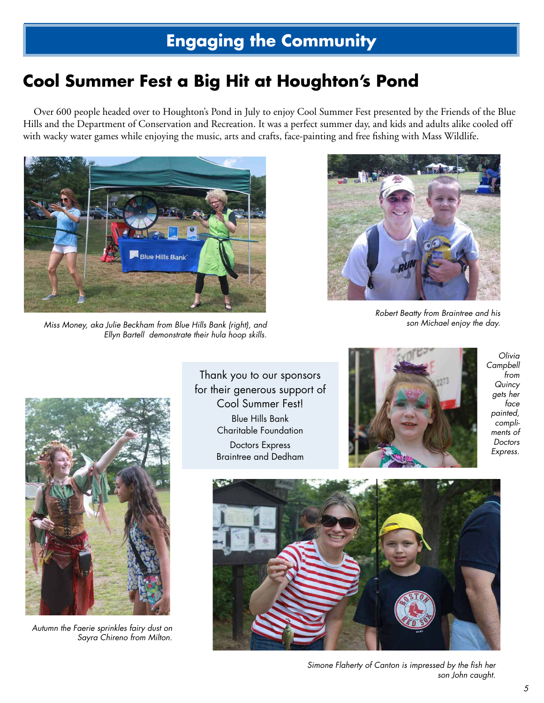## **Engaging the Community**

## **Cool Summer Fest a Big Hit at Houghton's Pond**

Over 600 people headed over to Houghton's Pond in July to enjoy Cool Summer Fest presented by the Friends of the Blue Hills and the Department of Conservation and Recreation. It was a perfect summer day, and kids and adults alike cooled off with wacky water games while enjoying the music, arts and crafts, face-painting and free fishing with Mass Wildlife.



Miss Money, aka Julie Beckham from Blue Hills Bank (right), and Ellyn Bartell demonstrate their hula hoop skills.



Robert Beatty from Braintree and his son Michael enjoy the day.



Autumn the Faerie sprinkles fairy dust on Sayra Chireno from Milton.

Thank you to our sponsors for their generous support of Cool Summer Fest! Blue Hills Bank Charitable Foundation Doctors Express Braintree and Dedham



Olivia Campbell from **Quincy** gets her face painted, compliments of Doctors Express.



Simone Flaherty of Canton is impressed by the fish her son John caught.